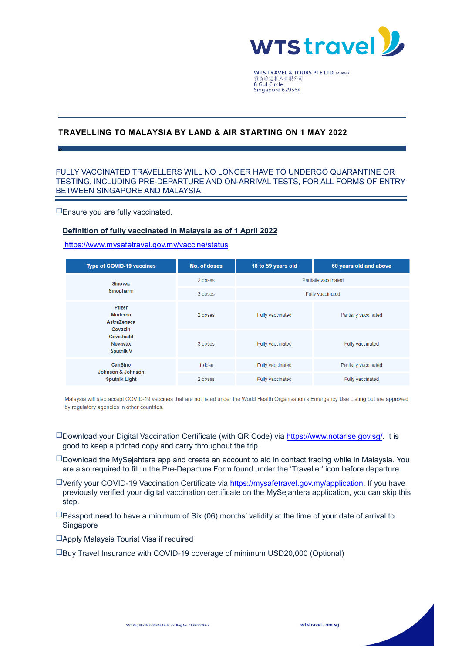

**WTS TRAVEL & TOURS PTE LTD TA 00637** 貴賓旅運私人有限公司<br>8 Gul Circle Singapore 629564

## **TRAVELLING TO MALAYSIA BY LAND & AIR STARTING ON 1 MAY 2022**

### FULLY VACCINATED TRAVELLERS WILL NO LONGER HAVE TO UNDERGO QUARANTINE OR TESTING, INCLUDING PRE-DEPARTURE AND ON-ARRIVAL TESTS, FOR ALL FORMS OF ENTRY BETWEEN SINGAPORE AND MALAYSIA.

☐Ensure you are fully vaccinated.

s

#### **Definition of fully vaccinated in Malaysia as of 1 April 2022**

#### <https://www.mysafetravel.gov.my/vaccine/status>

| <b>Type of COVID-19 vaccines</b>                                                                              | No. of doses | 18 to 59 years old      | 60 years old and above  |  |
|---------------------------------------------------------------------------------------------------------------|--------------|-------------------------|-------------------------|--|
| <b>Sinovac</b><br>Sinopharm                                                                                   | 2 doses      | Partially vaccinated    |                         |  |
|                                                                                                               | 3 doses      | <b>Fully vaccinated</b> |                         |  |
| Pfizer<br>Moderna<br><b>AstraZeneca</b><br>Covaxin<br><b>Covishield</b><br><b>Novavax</b><br><b>Sputnik V</b> | 2 doses      | Fully vaccinated        | Partially vaccinated    |  |
|                                                                                                               | 3 doses      | <b>Fully vaccinated</b> | <b>Fully vaccinated</b> |  |
| CanSino<br>Johnson & Johnson<br><b>Sputnik Light</b>                                                          | 1 dose       | Fully vaccinated        | Partially vaccinated    |  |
|                                                                                                               | 2 doses      | Fully vaccinated        | Fully vaccinated        |  |

Malaysia will also accept COVID-19 vaccines that are not listed under the World Health Organisation's Emergency Use Listing but are approved by regulatory agencies in other countries.

- ☐Download your Digital Vaccination Certificate (with QR Code) via [https://www.notarise.gov.sg/.](https://www.notarise.gov.sg/) It is good to keep a printed copy and carry throughout the trip.
- $\square$ Download the MySejahtera app and create an account to aid in contact tracing while in Malaysia. You are also required to fill in the Pre-Departure Form found under the 'Traveller' icon before departure.
- ☐Verify your COVID-19 Vaccination Certificate via [https://mysafetravel.gov.my/application.](https://mysafetravel.gov.my/application) If you have previously verified your digital vaccination certificate on the MySejahtera application, you can skip this step.
- $\square$ Passport need to have a minimum of Six (06) months' validity at the time of your date of arrival to Singapore
- ☐Apply Malaysia Tourist Visa if required

☐Buy Travel Insurance with COVID-19 coverage of minimum USD20,000 (Optional)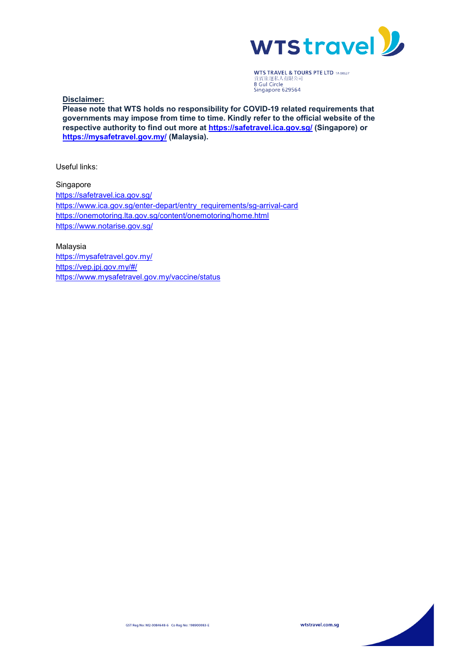

**WTS TRAVEL & TOURS PTE LTD TA 00637 the MALE of 1999**<br>貴賓旅運私人有限公司<br>**8 Gul Circle**<br>Singapore 629564

**Disclaimer:**

**Please note that WTS holds no responsibility for COVID-19 related requirements that governments may impose from time to time. Kindly refer to the official website of the respective authority to find out more at<https://safetravel.ica.gov.sg/> (Singapore) or <https://mysafetravel.gov.my/> (Malaysia).**

Useful links:

Singapore <https://safetravel.ica.gov.sg/> [https://www.ica.gov.sg/enter-depart/entry\\_requirements/sg-arrival-card](https://www.ica.gov.sg/enter-depart/entry_requirements/sg-arrival-card) <https://onemotoring.lta.gov.sg/content/onemotoring/home.html> <https://www.notarise.gov.sg/>

Malaysia <https://mysafetravel.gov.my/> <https://vep.jpj.gov.my/#/> <https://www.mysafetravel.gov.my/vaccine/status>